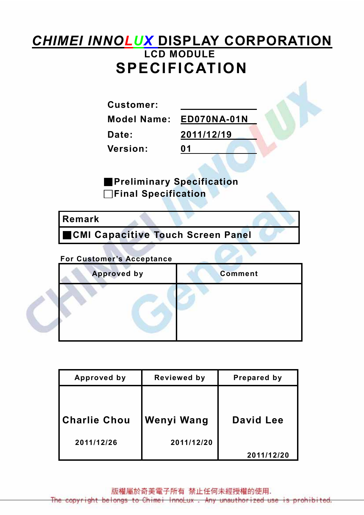# **CHIMEI INNOLUX DISPLAY CORPORATION** LCD MODULE SPECIFICATION

Customer:

Model Name: ED070NA-01N

Date: 2011/12/19

Version: 01

■Preliminary Specification □Final Specification

### Remark

■CMI Capacitive Touch Screen Panel

### For Customer's Acceptance

| <b>Approved by</b> | <b>Comment</b> |
|--------------------|----------------|
|                    |                |

| Approved by         | Reviewed by | Prepared by |  |  |
|---------------------|-------------|-------------|--|--|
|                     |             |             |  |  |
|                     |             |             |  |  |
| <b>Charlie Chou</b> | Wenyi Wang  | David Lee   |  |  |
| 2011/12/26          | 2011/12/20  |             |  |  |
|                     |             | 2011/12/20  |  |  |

版權屬於奇美電子所有 禁止任何未經授權的使用.

The copyright belongs to Chimei InnoLux . Any unauthorized use is prohibited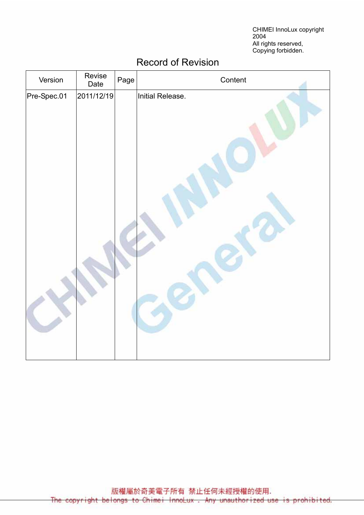CHIMEI InnoLux copyright 2004 All rights reserved, Copying forbidden.

| Version     | Revise<br>Date | Page | Content          |
|-------------|----------------|------|------------------|
| Pre-Spec.01 | 2011/12/19     |      | Initial Release. |
|             |                |      |                  |

## Record of Revision

版權屬於奇美電子所有 禁止任何未經授權的使用. The copyright belongs to Chimei InnoLux. Any unauthorized use is prohibited.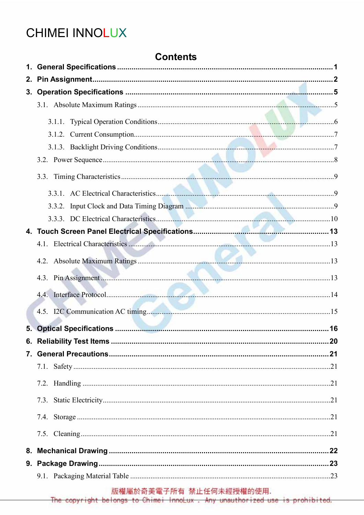# **CHIMEI INNOLUX**

### **Contents**

| 2. |  |
|----|--|
|    |  |
|    |  |
|    |  |
|    |  |
|    |  |
|    |  |
|    |  |
|    |  |
|    |  |
|    |  |
|    |  |
|    |  |
|    |  |
|    |  |
|    |  |
|    |  |
|    |  |
|    |  |
|    |  |
|    |  |
|    |  |
|    |  |
|    |  |
|    |  |
|    |  |
|    |  |
|    |  |
|    |  |

版權屬於奇美電子所有 禁止任何未經授權的使用.

The copyright belongs to Chimei InnoLux. Any unauthorized use is prohibited.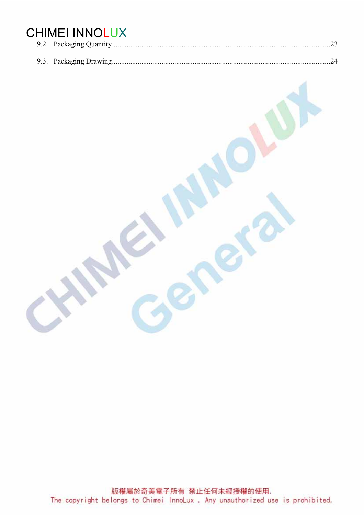# **CHIMEI INNOLUX**

版權屬於奇美電子所有 禁止任何未經授權的使用. The ight belongs to Chimei InnoLux. Any unauthorized use prohibited.  $+$ copyr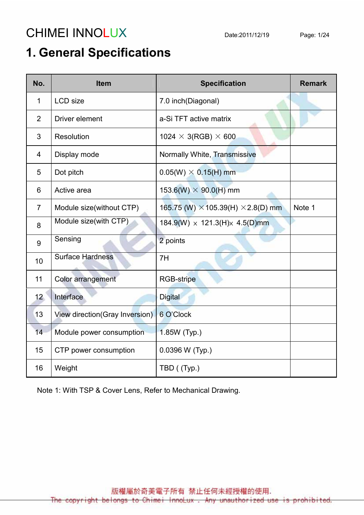# CHIMEI INNOLUX Date:2011/12/19 Page: 1/24

# 1. General Specifications

| No.             | <b>Item</b>                     | <b>Specification</b>                             | <b>Remark</b> |
|-----------------|---------------------------------|--------------------------------------------------|---------------|
| 1               | <b>LCD</b> size                 | 7.0 inch(Diagonal)                               |               |
| 2               | <b>Driver element</b>           | a-Si TFT active matrix                           |               |
| 3               | Resolution                      | 1024 $\times$ 3(RGB) $\times$ 600                |               |
| 4               | Display mode                    | Normally White, Transmissive                     |               |
| 5               | Dot pitch                       | $0.05(W) \times 0.15(H)$ mm                      |               |
| 6               | Active area                     | $153.6(W) \times 90.0(H)$ mm                     |               |
| $\overline{7}$  | Module size(without CTP)        | 165.75 (W) $\times$ 105.39(H) $\times$ 2.8(D) mm | Note 1        |
| 8               | Module size(with CTP)           | $184.9(W) \times 121.3(H) \times 4.5(D)$ mm      |               |
| 9               | Sensing                         | 2 points                                         |               |
| 10              | <b>Surface Hardness</b>         | 7H                                               |               |
| 11              | Color arrangement               | <b>RGB-stripe</b>                                |               |
| 12 <sub>2</sub> | Interface                       | <b>Digital</b>                                   |               |
| 13              | View direction (Gray Inversion) | 6 O'Clock                                        |               |
| 14              | Module power consumption        | 1.85W (Typ.)                                     |               |
| 15              | CTP power consumption           | 0.0396 W (Typ.)                                  |               |
| 16              | Weight                          | TBD ((Typ.)                                      |               |

Note 1: With TSP & Cover Lens, Refer to Mechanical Drawing.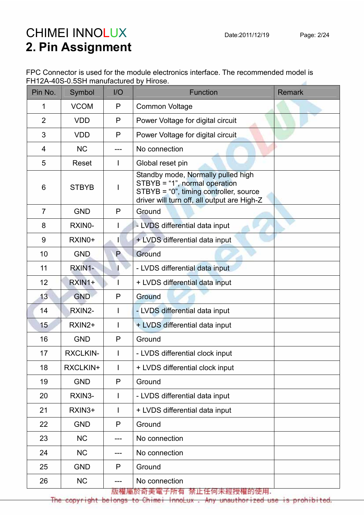# CHIMEI INNOLUX Date:2011/12/19 Page: 2/24 2. Pin Assignment

| FPC Connector is used for the module electronics interface. The recommended model is |  |
|--------------------------------------------------------------------------------------|--|
| FH12A-40S-0.5SH manufactured by Hirose.                                              |  |

| Pin No.        | Symbol          | I/O | <b>Function</b>                                                                                                                                              | <b>Remark</b> |
|----------------|-----------------|-----|--------------------------------------------------------------------------------------------------------------------------------------------------------------|---------------|
| 1              | <b>VCOM</b>     | P   | <b>Common Voltage</b>                                                                                                                                        |               |
| $\overline{2}$ | <b>VDD</b>      | P   | Power Voltage for digital circuit                                                                                                                            |               |
| 3              | <b>VDD</b>      | P   | Power Voltage for digital circuit                                                                                                                            |               |
| 4              | <b>NC</b>       | --- | No connection                                                                                                                                                |               |
| 5              | Reset           |     | Global reset pin                                                                                                                                             |               |
| 6              | <b>STBYB</b>    |     | Standby mode, Normally pulled high<br>STBYB = "1", normal operation<br>STBYB = "0", timing controller, source<br>driver will turn off, all output are High-Z |               |
| $\overline{7}$ | <b>GND</b>      | P   | Ground                                                                                                                                                       |               |
| 8              | RXIN0-          | I   | - LVDS differential data input                                                                                                                               |               |
| 9              | RXIN0+          | Н   | + LVDS differential data input                                                                                                                               |               |
| 10             | <b>GND</b>      | P   | Ground                                                                                                                                                       |               |
| 11             | RXIN1-          |     | - LVDS differential data input                                                                                                                               |               |
| 12             | RXIN1+          |     | + LVDS differential data input                                                                                                                               |               |
| 13             | <b>GND</b>      | P   | Ground                                                                                                                                                       |               |
| 14             | RXIN2-          |     | - LVDS differential data input                                                                                                                               |               |
| 15             | RXIN2+          |     | + LVDS differential data input                                                                                                                               |               |
| 16             | <b>GND</b>      | P   | Ground                                                                                                                                                       |               |
| 17             | <b>RXCLKIN-</b> |     | - LVDS differential clock input                                                                                                                              |               |
| 18             | RXCLKIN+        | I   | + LVDS differential clock input                                                                                                                              |               |
| 19             | <b>GND</b>      | P   | Ground                                                                                                                                                       |               |
| 20             | RXIN3-          | L   | - LVDS differential data input                                                                                                                               |               |
| 21             | RXIN3+          |     | + LVDS differential data input                                                                                                                               |               |
| 22             | <b>GND</b>      | P   | Ground                                                                                                                                                       |               |
| 23             | <b>NC</b>       |     | No connection                                                                                                                                                |               |
| 24             | <b>NC</b>       | --- | No connection                                                                                                                                                |               |
| 25             | <b>GND</b>      | P   | Ground                                                                                                                                                       |               |
| 26             | <b>NC</b>       | --- | No connection                                                                                                                                                |               |

版權屬於奇美電子所有 禁止任何未經授權的使用.

The copyright belongs to Chimei InnoLux. Any unauthorized use is prohibited.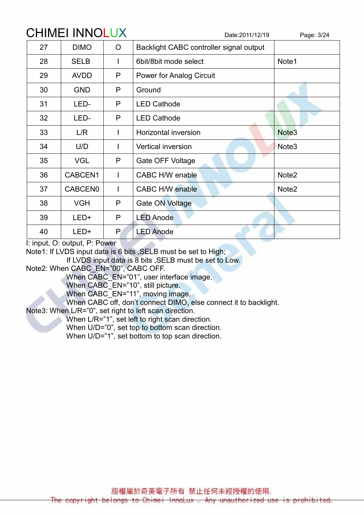# CHIMEI INNOLUX Date:2011/12/19 Page: 3/24 27 | DIMO | O | Backlight CABC controller signal output 28 | SELB | I | 6bit/8bit mode select | Note1 29 | AVDD | P | Power for Analog Circuit 30 GND P Ground 31 LED- P LED Cathode 32 LED- P LED Cathode 33 L/R I Horizontal inversion Note3 34 U/D I Vertical inversion 35 | VGL | P | Gate OFF Voltage

36 | CABCEN1 | I | CABC H/W enable Note2

37 | CABCEN0 | I | CABC H/W enable Note2

I: input, O: output, P: Power

Note1: If LVDS input data is 6 bits ,SELB must be set to High;

38 | VGH | P | Gate ON Voltage

39 LED+ P LED Anode

40 LED+ P LED Anode

If LVDS input data is 8 bits ,SELB must be set to Low.

Note2: When CABC\_EN="00", CABC OFF.

When CABC\_EN="01", user interface image.

When CABC<sup>-</sup>EN="10", still picture.

When CABC EN="11", moving image.

When CABC off, don't connect DIMO, else connect it to backlight.

Note3: When L/R="0", set right to left scan direction.

When L/R="1", set left to right scan direction.

When U/D="0", set top to bottom scan direction.

When U/D="1", set bottom to top scan direction.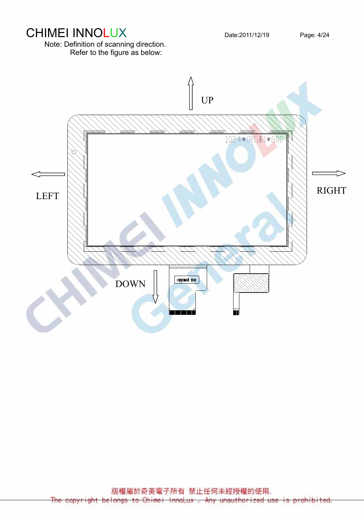Note: Definition of scanning direction. Refer to the figure as below:



CHIMEI INNOLUX Date:2011/12/19 Page: 4/24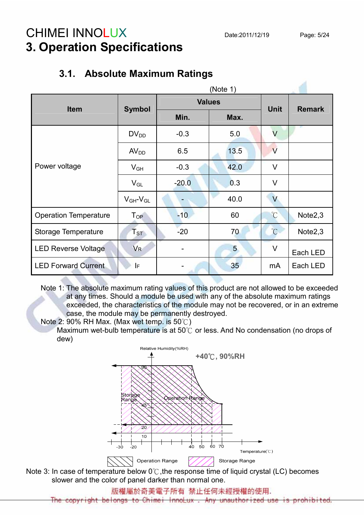# CHIMEI INNOLUX Date:2011/12/19 Page: 5/24 3. Operation Specifications

### 3.1. Absolute Maximum Ratings

| <b>Item</b>                  | <b>Symbol</b>              | <b>Values</b> | <b>Unit</b> | <b>Remark</b>           |                     |
|------------------------------|----------------------------|---------------|-------------|-------------------------|---------------------|
|                              |                            | Min.          | Max.        |                         |                     |
|                              | $DV_{DD}$                  | $-0.3$        | 5.0         | $\vee$                  |                     |
|                              | AV <sub>DD</sub>           | 6.5           | 13.5        | $\overline{\mathsf{V}}$ |                     |
| Power voltage                | $V_{GH}$                   | $-0.3$        | 42.0        | $\vee$                  |                     |
|                              | $V_{GL}$                   | $-20.0$       | 0.3         | $\vee$                  |                     |
|                              | $V_{GH}$ - $V_{GL}$        |               | 40.0        | $\vee$                  |                     |
| <b>Operation Temperature</b> | $\mathsf{T}_{\mathsf{OP}}$ | $-10$         | 60          | $\mathrm{C}$            | Note $2,3$          |
| Storage Temperature          | $T_{\textrm{ST}}$          | $-20$         | 70          | $\mathrm{C}$            | Note <sub>2,3</sub> |
| <b>LED Reverse Voltage</b>   | <b>V<sub>R</sub></b>       |               | 5           | $\vee$                  | Each LED            |
| <b>LED Forward Current</b>   | IF                         |               | 35          | mA                      | Each LED            |

Note 1: The absolute maximum rating values of this product are not allowed to be exceeded at any times. Should a module be used with any of the absolute maximum ratings exceeded, the characteristics of the module may not be recovered, or in an extreme case, the module may be permanently destroyed.

Note 2: 90% RH Max. (Max wet temp. is 50℃) Maximum wet-bulb temperature is at 50℃ or less. And No condensation (no drops of dew)



Note 3: In case of temperature below 0℃,the response time of liquid crystal (LC) becomes slower and the color of panel darker than normal one.

版權屬於奇美電子所有 禁止任何未經授權的使用.

ight belongs to Chimei InnoLux . Any unauthorized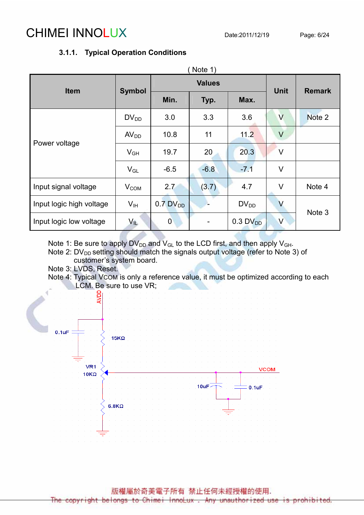# CHIMEI INNOLUX Date:2011/12/19 Page: 6/24

### 3.1.1. Typical Operation Conditions

|                          |                  |                                       | Note 1)       |                        |                         |        |
|--------------------------|------------------|---------------------------------------|---------------|------------------------|-------------------------|--------|
| <b>Item</b>              |                  |                                       | <b>Values</b> | <b>Unit</b>            | <b>Remark</b>           |        |
|                          |                  | <b>Symbol</b><br>Min.<br>Max.<br>Typ. |               |                        |                         |        |
|                          | $DV_{DD}$        | 3.0                                   | 3.3           | 3.6                    | V                       | Note 2 |
| Power voltage            | AV <sub>DD</sub> | 10.8                                  | 11            | 11.2                   | $\vee$                  |        |
|                          | $V_{GH}$         | 19.7                                  | 20            | 20.3                   | V                       |        |
|                          | $V_{GL}$         | $-6.5$                                | $-6.8$        | $-7.1$                 | $\vee$                  |        |
| Input signal voltage     | $V_{COM}$        | 2.7                                   | (3.7)         | 4.7                    | $\vee$                  | Note 4 |
| Input logic high voltage | V <sub>IH</sub>  | $0.7$ DV <sub>DD</sub>                |               | $DV_{DD}$              | $\vee$                  | Note 3 |
| Input logic low voltage  | $V_{\parallel}$  | $\overline{0}$                        |               | $0.3$ DV <sub>DD</sub> | $\overline{\mathsf{V}}$ |        |

Note 1: Be sure to apply  $DV_{DD}$  and  $V_{GL}$  to the LCD first, and then apply  $V_{GH}$ .

Note 2:  $DV_{DD}$  setting should match the signals output voltage (refer to Note 3) of customer's system board.

Note 3: LVDS, Reset.

Note 4: Typical VCOM is only a reference value, it must be optimized according to each LCM. Be sure to use VR;



版權屬於奇美電子所有 禁止任何未經授權的使用.

ight belongs to Chimei InnoLux . Any unauthorized use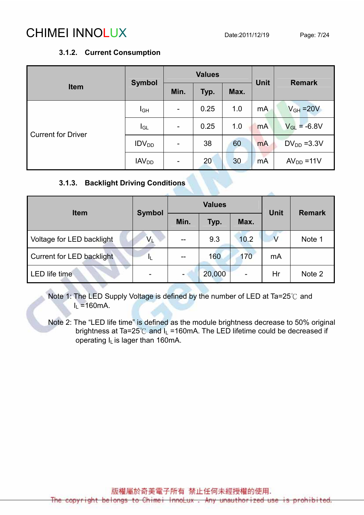# CHIMEI INNOLUX Date:2011/12/19 Page: 7/24

#### 3.1.2. Current Consumption

|                           | <b>Symbol</b>           |                          | <b>Values</b> |      | <b>Unit</b> | <b>Remark</b>    |  |
|---------------------------|-------------------------|--------------------------|---------------|------|-------------|------------------|--|
| <b>Item</b>               |                         | Min.                     | Typ.          | Max. |             |                  |  |
|                           | $I_{GH}$                | $\overline{\phantom{a}}$ | 0.25          | 1.0  | mA          | $V_{GH} = 20V$   |  |
| <b>Current for Driver</b> | $I_{GL}$                | $\overline{\phantom{a}}$ | 0.25          | 1.0  | <b>mA</b>   | $V_{GL} = -6.8V$ |  |
|                           | IDV <sub>DD</sub>       | $\blacksquare$           | 38            | 60   | <b>mA</b>   | $DV_{DD} = 3.3V$ |  |
|                           | <b>IAV<sub>DD</sub></b> | $\overline{\phantom{a}}$ | 20            | 30   | <b>mA</b>   | $AVDD = 11V$     |  |

### 3.1.3. Backlight Driving Conditions

| <b>Item</b>               | <b>Symbol</b> |      | <b>Values</b> | <b>Unit</b> | <b>Remark</b> |        |
|---------------------------|---------------|------|---------------|-------------|---------------|--------|
|                           |               | Min. | Typ.          | Max.        |               |        |
| Voltage for LED backlight | $V_{\perp}$   | --   | 9.3           | 10.2        |               | Note 1 |
| Current for LED backlight | и             | --   | 160           | 170         | mA            |        |
| LED life time             |               |      | 20,000        | -           | Hr            | Note 2 |

Note 1: The LED Supply Voltage is defined by the number of LED at Ta=25℃ and  $I<sub>L</sub>$  =160mA.

Note 2: The "LED life time" is defined as the module brightness decrease to 50% original brightness at Ta=25 $^{\circ}$ C and I<sub>L</sub> =160mA. The LED lifetime could be decreased if operating  $I_L$  is lager than 160mA.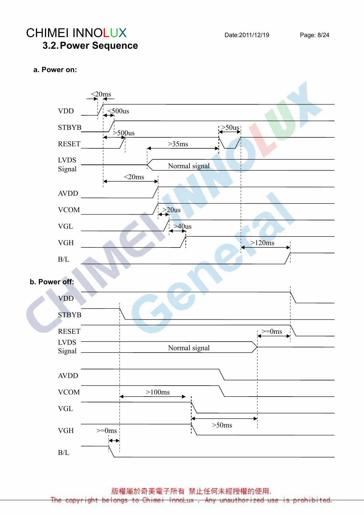# CHIMEI INNOLUX Date:2011/12/19 Page: 8/24 3.2. Power Sequence

#### a. Power on:



版權屬於奇美電子所有 禁止任何未經授權的使用.

The copyright belongs to Chimei InnoLux. Any unauthorized use is prohibited.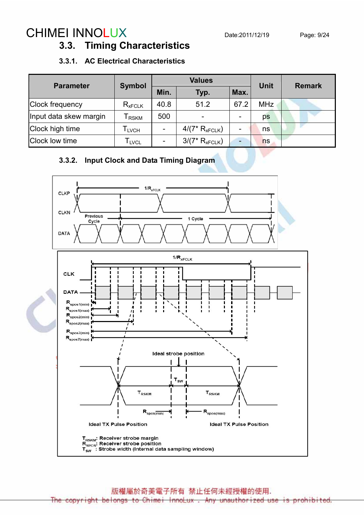# CHIMEI INNOLUX Date:2011/12/19 Page: 9/24

### 3.3. Timing Characteristics

#### 3.3.1. AC Electrical Characteristics

| <b>Parameter</b>       | <b>Symbol</b> |      | <b>Values</b>            | Unit                         | <b>Remark</b> |  |  |
|------------------------|---------------|------|--------------------------|------------------------------|---------------|--|--|
|                        |               | Min. | Typ.                     | Max.                         |               |  |  |
| <b>Clock frequency</b> | $R_{xFCLK}$   | 40.8 | 51.2                     | 67.2                         | <b>MHz</b>    |  |  |
| Input data skew margin | <b>RSKM</b>   | 500  | $\overline{\phantom{a}}$ | ۰                            | ps            |  |  |
| Clock high time        | <b>LVCH</b>   |      | $4/(7*R_{xFCLK})$        | $\qquad \qquad \blacksquare$ | ns            |  |  |
| Clock low time         | l lvcl        |      | $3/(7* R_{xFCLK})$       | $\overline{\phantom{0}}$     | ns            |  |  |

### 3.3.2. Input Clock and Data Timing Diagram



版權屬於奇美電子所有 禁止任何未經授權的使用.

The copyright belongs to Chimei InnoLux . Any unauthorized use is prohibited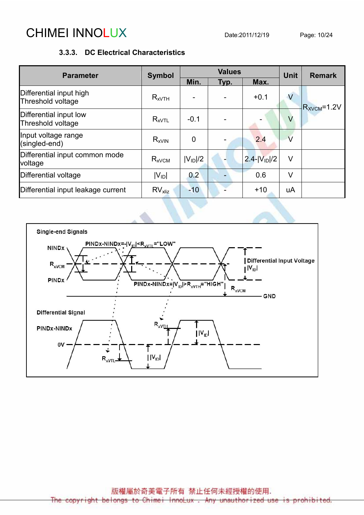# CHIMEI INNOLUX Date:2011/12/19 Page: 10/24

### 3.3.3. DC Electrical Characteristics

| <b>Parameter</b>                             | <b>Symbol</b>         |              | <b>Values</b> | <b>Unit</b>        | <b>Remark</b>  |                   |
|----------------------------------------------|-----------------------|--------------|---------------|--------------------|----------------|-------------------|
|                                              |                       | Min.         | Typ.          | Max.               |                |                   |
| Differential input high<br>Threshold voltage | $R_{xVTH}$            |              |               | $+0.1$             | $\overline{V}$ | $R_{XVCM} = 1.2V$ |
| Differential input low<br>Threshold voltage  | $R_{xVTL}$            | $-0.1$       |               |                    | V              |                   |
| Input voltage range<br>(singled-end)         | $R_{xV}$ <sub>N</sub> | 0            |               | 2.4                | $\vee$         |                   |
| Differential input common mode<br>voltage    | $R_{xVCM}$            | $ V_{ID} /2$ |               | $2.4 -  V_{1D} /2$ | $\vee$         |                   |
| Differential voltage                         | $ V_{ID} $            | 0.2          |               | 0.6                | V              |                   |
| Differential input leakage current           | $RV_{x\text{liz}}$    | $-10$        |               | $+10$              | uA             |                   |

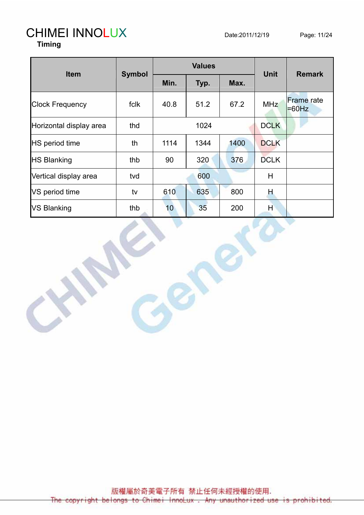### CHIMEI INNOLUX Date:2011/12/19 Page: 11/24 Timing

|                         |               |      | <b>Values</b> | <b>Unit</b> | <b>Remark</b> |                               |  |
|-------------------------|---------------|------|---------------|-------------|---------------|-------------------------------|--|
| <b>Item</b>             | <b>Symbol</b> | Min. | Typ.          | Max.        |               |                               |  |
| <b>Clock Frequency</b>  | fclk          | 40.8 | 51.2          | 67.2        | <b>MHz</b>    | <b>Frame</b> rate<br>$=60$ Hz |  |
| Horizontal display area | thd           |      | 1024          |             | <b>DCLK</b>   |                               |  |
| <b>HS</b> period time   | th            | 1114 | 1344          | 1400        | <b>DCLK</b>   |                               |  |
| <b>HS Blanking</b>      | thb           | 90   | 320           | 376         | <b>DCLK</b>   |                               |  |
| Vertical display area   | tvd           |      | 600           |             | Н             |                               |  |
| VS period time          | tv            | 610  | 635           | 800         | Н             |                               |  |
| <b>VS Blanking</b>      | thb           | 10   | 35            | 200         | Н             |                               |  |

版權屬於奇美電子所有 禁止任何未經授權的使用. The copyright belongs to Chimei InnoLux. Any unauthorized use is prohibited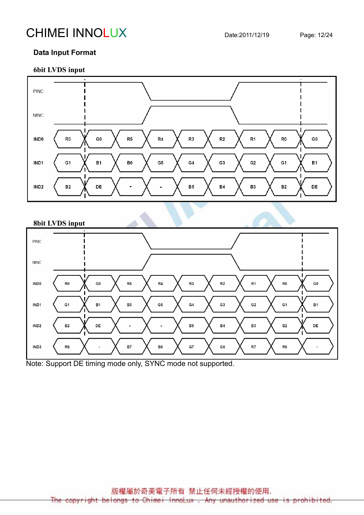# CHIMEI INNOLUX Date:2011/12/19 Page: 12/24

### Data Input Format

#### 6bit LVDS input



#### 8bit LVDS input



Note: Support DE timing mode only, SYNC mode not supported.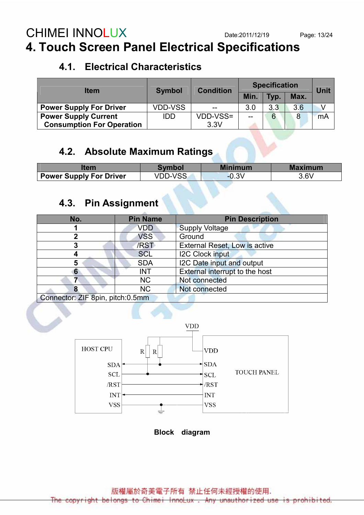# CHIMEI INNOLUX Date:2011/12/19 Page: 13/24 4. Touch Screen Panel Electrical Specifications

## 4.1. Electrical Characteristics

| <b>Item</b>                      | <b>Symbol</b> | <b>Condition</b> | <b>Specification</b> | <b>Jnit</b> |      |    |  |
|----------------------------------|---------------|------------------|----------------------|-------------|------|----|--|
|                                  |               |                  | Min.                 | Typ.        | Max. |    |  |
| <b>Power Supply For Driver</b>   | VDD-VSS       | $- -$            | 3.0                  | 3.3         | 3.6  |    |  |
| <b>Power Supply Current</b>      | <b>IDD</b>    | VDD-VSS=         | $- -$                | 6           | 8    | mA |  |
| <b>Consumption For Operation</b> |               | 3.3V             |                      |             |      |    |  |

## 4.2. Absolute Maximum Ratings

| tem                            | Symbol         | <b>Minimum</b> | <b>Maximum</b> |
|--------------------------------|----------------|----------------|----------------|
| <b>Power Supply For Driver</b> | <b>VDD-VSS</b> | $-0.3V$        | 3.6V           |

# 4.3. Pin Assignment

| No.                              | <b>Pin Name</b> | <b>Pin Description</b>               |
|----------------------------------|-----------------|--------------------------------------|
|                                  | VDD             | <b>Supply Voltage</b>                |
|                                  | <b>VSS</b>      | Ground                               |
|                                  | /RST            | <b>External Reset, Low is active</b> |
|                                  | <b>SCL</b>      | <b>I2C Clock input</b>               |
| 5                                | <b>SDA</b>      | I2C Date input and output            |
| 6                                | <b>INT</b>      | External interrupt to the host       |
|                                  | <b>NC</b>       | Not connected                        |
| 8                                | <b>NC</b>       | Not connected                        |
| Connector: 7IF Onin pitch: C Emm |                 |                                      |

Connector: ZIF 8pin, pitch:0.5mm



Block diagram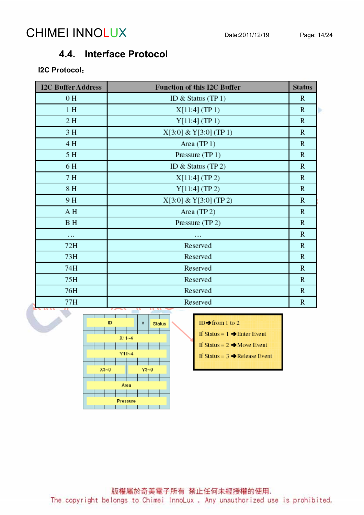# CHIMEI INNOLUX Date:2011/12/19 Page: 14/24

### 4.4. Interface Protocol

### I2C Protocol:

j

| <b>I2C Buffer Address</b> | <b>Function of this I2C Buffer</b> | <b>Status</b> |  |
|---------------------------|------------------------------------|---------------|--|
| 0H                        | ID & Status $(TP1)$                | R             |  |
| 1H                        | X[11:4] (TP 1)                     | $\mathbb{R}$  |  |
| 2H                        | Y[11:4] (TP 1)                     | $\mathbb{R}$  |  |
| 3 H                       | X[3:0] & Y[3:0] (TP 1)             | $\mathbb{R}$  |  |
| 4 H                       | Area (TP1)                         | R             |  |
| 5 H                       | Pressure (TP 1)                    | $\mathbb{R}$  |  |
| 6H                        | ID & Status $(TP2)$                | $\mathbb{R}$  |  |
| 7 H                       | $X[11:4]$ (TP 2)                   | $\mathbb{R}$  |  |
| 8 H                       | Y[11:4] (TP 2)                     | R             |  |
| 9 H                       | $X[3:0] & Y[3:0]$ (TP 2)           | $\mathbb{R}$  |  |
| A H                       | Area (TP2)                         | R             |  |
| B H                       | Pressure (TP 2)                    | R             |  |
| $\cdots$                  | $\cdots$                           | R             |  |
| 72H                       | Reserved                           | R             |  |
| 73H                       | Reserved                           | R             |  |
| 74H                       | Reserved                           | R             |  |
| 75H                       | Reserved                           | $\mathbb{R}$  |  |
| 76H                       | Reserved                           | $\mathbb{R}$  |  |
| 77H                       | Reserved                           | R             |  |



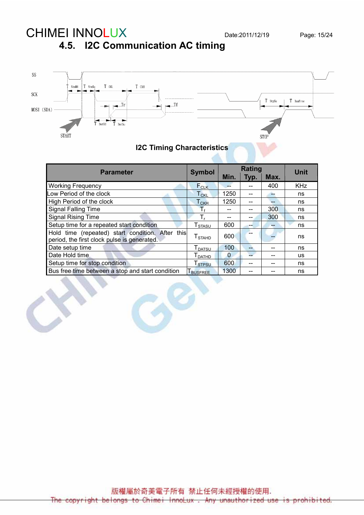## 4.5. I2C Communication AC timing



### I2C Timing Characteristics

| <b>Parameter</b>                                                                                | <b>Symbol</b>                   |                | <b>Unit</b> |      |            |
|-------------------------------------------------------------------------------------------------|---------------------------------|----------------|-------------|------|------------|
|                                                                                                 |                                 | Min.           | Typ.        | Max. |            |
| <b>Working Frequency</b>                                                                        | $F_{CLK}$                       |                |             | 400  | <b>KHz</b> |
| ow Period of the clock                                                                          | $T_{CKL}$                       | 1250           | --          |      | ns         |
| High Period of the clock                                                                        | ${\mathsf T}_{\mathsf{CKH}}$    | 1250           | --          |      | ns         |
| <b>Signal Falling Time</b>                                                                      | $T_{\rm f}$                     |                |             | 300  | ns         |
| <b>Signal Rising Time</b>                                                                       | T,                              |                |             | 300  | ns         |
| Setup time for a repeated start condition                                                       | T <sub>STASU</sub>              | 600            | --          | --   | ns         |
| Hold time (repeated) start condition. After this<br>period, the first clock pulse is generated. | $T_{\scriptsize{\text{STAHD}}}$ | 600            |             |      | ns         |
| Date setup time                                                                                 | <b>T</b> <sub>DATSU</sub>       | 100            | --          |      | ns         |
| Date Hold time.                                                                                 | $T_{\text{DATHD}}$              | $\overline{0}$ |             |      | <b>US</b>  |
| Setup time for stop condition                                                                   | T <sub>STPSU</sub>              | 600            | --          |      | ns         |
| Bus free time between a stop and start condition                                                | <b>TBUSFREE</b>                 | 1300           | --          |      | ns         |
|                                                                                                 |                                 |                |             |      |            |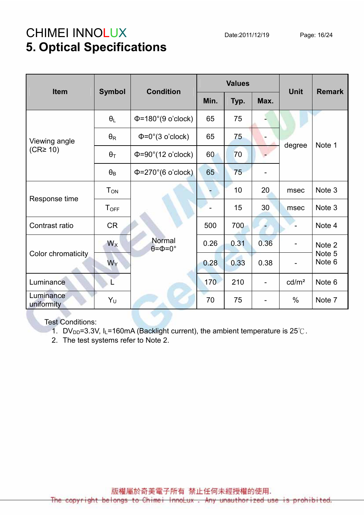# CHIMEI INNOLUX Date:2011/12/19 Page: 16/24 5. Optical Specifications

| Item                    | <b>Condition</b><br><b>Symbol</b> |                                        |      | <b>Values</b> | <b>Unit</b>              | <b>Remark</b>     |                  |  |
|-------------------------|-----------------------------------|----------------------------------------|------|---------------|--------------------------|-------------------|------------------|--|
|                         |                                   |                                        | Min. | Typ.          | Max.                     |                   |                  |  |
|                         | $\theta_L$                        | $\Phi$ =180°(9 o'clock)                | 65   | 75            |                          |                   |                  |  |
| Viewing angle           | $\theta_{\mathsf{R}}$             | $\Phi = 0^\circ (3 \text{ o'clock})$   | 65   | 75            |                          | degree            | Note 1           |  |
| (CR <sup>2</sup> 10)    | $\theta_T$                        | $\Phi = 90^\circ (12 \text{ o'clock})$ | 60   | 70            |                          |                   |                  |  |
|                         | $\theta_B$                        | $\Phi$ =270°(6 o'clock)                | 65   | 75            |                          |                   |                  |  |
|                         | <b>T</b> <sub>ON</sub>            |                                        |      | 10            | 20                       | msec              | Note 3           |  |
| Response time           | <b>T</b> <sub>OFF</sub>           |                                        |      | 15            | 30                       | msec              | Note 3           |  |
| Contrast ratio          | <b>CR</b>                         |                                        | 500  | 700           |                          |                   | Note 4           |  |
|                         | $W_X$                             | Normal<br>$\theta = \Phi = 0^\circ$    | 0.26 | 0.31          | 0.36                     | -                 | Note 2           |  |
| Color chromaticity      | $W_Y$                             |                                        | 0.28 | 0.33          | 0.38                     |                   | Note 5<br>Note 6 |  |
| Luminance               | L                                 |                                        | 170  | 210           | $\overline{\phantom{0}}$ | cd/m <sup>2</sup> | Note 6           |  |
| Luminance<br>uniformity | $Y_U$                             |                                        | 70   | 75            |                          | $\%$              | Note 7           |  |

Test Conditions:

1. DV<sub>DD</sub>=3.3V, I<sub>L</sub>=160mA (Backlight current), the ambient temperature is 25°C.

2. The test systems refer to Note 2.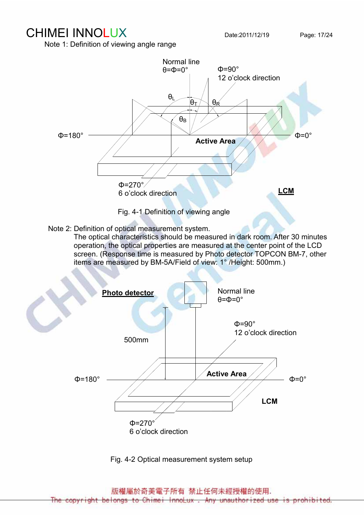Note 1: Definition of viewing angle range



Note 2: Definition of optical measurement system.

 The optical characteristics should be measured in dark room. After 30 minutes operation, the optical properties are measured at the center point of the LCD screen. (Response time is measured by Photo detector TOPCON BM-7, other items are measured by BM-5A/Field of view: 1° /Height: 500mm.)



Fig. 4-2 Optical measurement system setup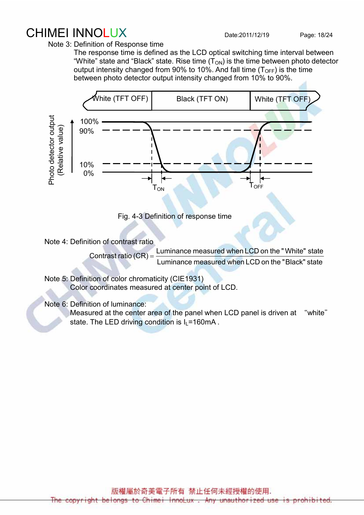# CHIMEI INNOLUX Date:2011/12/19 Page: 18/24

Note 3: Definition of Response time

 The response time is defined as the LCD optical switching time interval between "White" state and "Black" state. Rise time  $(T_{ON})$  is the time between photo detector output intensity changed from 90% to 10%. And fall time  $(T<sub>OFF</sub>)$  is the time between photo detector output intensity changed from 10% to 90%.



Fig. 4-3 Definition of response time

Note 4: Definition of contrast ratio

Contrast ratio  $(CR) = \frac{Eammanoc mac}{Lumiance measured when LCD on the "Black" state}$ Luminance measured when LCD on the "White" state

 Note 5: Definition of color chromaticity (CIE1931) Color coordinates measured at center point of LCD.

Note 6: Definition of luminance:

Measured at the center area of the panel when LCD panel is driven at "white" state. The LED driving condition is  $I_1$ =160mA.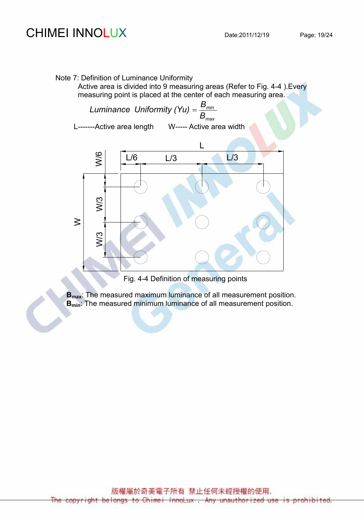# CHIMEI INNOLUX Date:2011/12/19 Page: 19/24

#### Note 7: Definition of Luminance Uniformity

Active area is divided into 9 measuring areas (Refer to Fig. 4-4 ).Every measuring point is placed at the center of each measuring area.



B<sub>max</sub>: The measured maximum luminance of all measurement position. B<sub>min</sub>: The measured minimum luminance of all measurement position.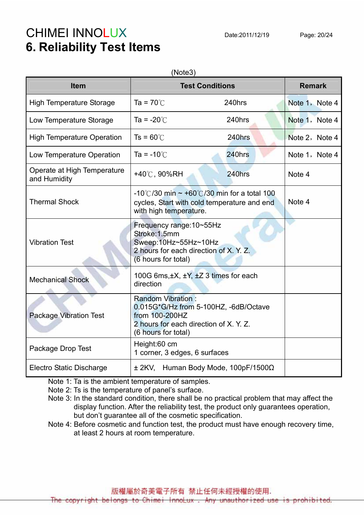# CHIMEI INNOLUX Date:2011/12/19 Page: 20/24 6. Reliability Test Items

| (Note3)                                     |                                                                                                                                                      |                                                 |                |  |  |  |  |  |
|---------------------------------------------|------------------------------------------------------------------------------------------------------------------------------------------------------|-------------------------------------------------|----------------|--|--|--|--|--|
| <b>Item</b>                                 |                                                                                                                                                      | <b>Test Conditions</b>                          | <b>Remark</b>  |  |  |  |  |  |
| <b>High Temperature Storage</b>             | Ta = $70^{\circ}$ C                                                                                                                                  | 240hrs                                          | Note 1, Note 4 |  |  |  |  |  |
| Low Temperature Storage                     | Ta = $-20^{\circ}$ C                                                                                                                                 | 240hrs                                          | Note 1, Note 4 |  |  |  |  |  |
| <b>High Temperature Operation</b>           | $Ts = 60^{\circ}$                                                                                                                                    | 240hrs                                          | Note 2, Note 4 |  |  |  |  |  |
| Low Temperature Operation                   | Ta = $-10^{\circ}$ C                                                                                                                                 | 240hrs                                          | Note 1, Note 4 |  |  |  |  |  |
| Operate at High Temperature<br>and Humidity | +40℃, 90%RH                                                                                                                                          | 240hrs                                          | Note 4         |  |  |  |  |  |
| <b>Thermal Shock</b>                        | -10°C/30 min $\sim$ +60°C/30 min for a total 100<br>cycles, Start with cold temperature and end<br>with high temperature.                            | Note 4                                          |                |  |  |  |  |  |
| <b>Vibration Test</b>                       | Frequency range: 10~55Hz<br>Stroke: 1.5mm<br>Sweep:10Hz~55Hz~10Hz<br>2 hours for each direction of X. Y. Z.<br>(6 hours for total)                   |                                                 |                |  |  |  |  |  |
| <b>Mechanical Shock</b>                     | 100G 6ms, $\pm X$ , $\pm Y$ , $\pm Z$ 3 times for each<br>direction                                                                                  |                                                 |                |  |  |  |  |  |
| <b>Package Vibration Test</b>               | <b>Random Vibration:</b><br>0.015G*G/Hz from 5-100HZ, -6dB/Octave<br>from 100-200HZ<br>2 hours for each direction of X. Y. Z.<br>(6 hours for total) |                                                 |                |  |  |  |  |  |
| Package Drop Test                           | Height:60 cm<br>1 corner, 3 edges, 6 surfaces                                                                                                        |                                                 |                |  |  |  |  |  |
| <b>Electro Static Discharge</b>             |                                                                                                                                                      | $\pm$ 2KV, Human Body Mode, 100pF/1500 $\Omega$ |                |  |  |  |  |  |

Note 1: Ta is the ambient temperature of samples.

Note 2: Ts is the temperature of panel's surface.

 Note 3: In the standard condition, there shall be no practical problem that may affect the display function. After the reliability test, the product only guarantees operation, but don't guarantee all of the cosmetic specification.

Note 4: Before cosmetic and function test, the product must have enough recovery time, at least 2 hours at room temperature.

版權屬於奇美電子所有 禁止任何未經授權的使用.

The copyright belongs to Chimei InnoLux, Any unauthorized use is prohib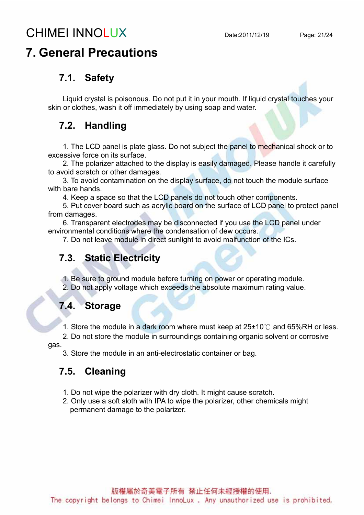# CHIMEI INNOLUX Date:2011/12/19 Page: 21/24

# 7. General Precautions

### 7.1. Safety

Liquid crystal is poisonous. Do not put it in your mouth. If liquid crystal touches your skin or clothes, wash it off immediately by using soap and water.

### 7.2. Handling

1. The LCD panel is plate glass. Do not subject the panel to mechanical shock or to excessive force on its surface.

2. The polarizer attached to the display is easily damaged. Please handle it carefully to avoid scratch or other damages.

3. To avoid contamination on the display surface, do not touch the module surface with bare hands.

4. Keep a space so that the LCD panels do not touch other components.

5. Put cover board such as acrylic board on the surface of LCD panel to protect panel from damages.

6. Transparent electrodes may be disconnected if you use the LCD panel under environmental conditions where the condensation of dew occurs.

7. Do not leave module in direct sunlight to avoid malfunction of the ICs.

### 7.3. Static Electricity

1. Be sure to ground module before turning on power or operating module. 2. Do not apply voltage which exceeds the absolute maximum rating value.

### 7.4. Storage

1. Store the module in a dark room where must keep at 25±10℃ and 65%RH or less.

2. Do not store the module in surroundings containing organic solvent or corrosive

gas.

3. Store the module in an anti-electrostatic container or bag.

### 7.5. Cleaning

- 1. Do not wipe the polarizer with dry cloth. It might cause scratch.
- 2. Only use a soft sloth with IPA to wipe the polarizer, other chemicals might permanent damage to the polarizer.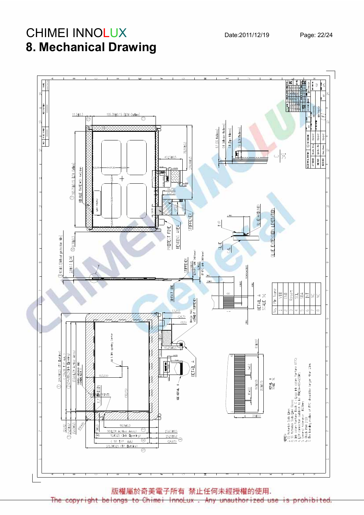# **CHIMEI INNOLU** 8. Mechanical Drawing



版權屬於奇美電子所有 禁止任何未經授權的使用.

The belongs to Chimei InnoLux Any unauthor i zed prohibited. Hght use copyr ŦS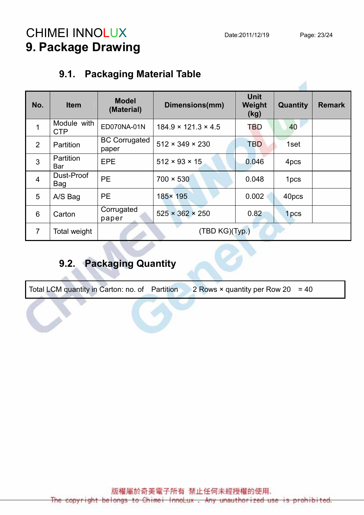# CHIMEI INNOLUX Date:2011/12/19 Page: 23/24 9. Package Drawing

## 9.1. Packaging Material Table

| No.            | <b>Item</b>               | <b>Model</b><br>(Material)    | Dimensions(mm)                  | <b>Unit</b><br>Weight<br>(kg) | Quantity         | <b>Remark</b> |
|----------------|---------------------------|-------------------------------|---------------------------------|-------------------------------|------------------|---------------|
| 1              | Module with<br><b>CTP</b> | ED070NA-01N                   | $184.9 \times 121.3 \times 4.5$ | <b>TBD</b>                    | 40               |               |
| 2              | <b>Partition</b>          | <b>BC Corrugated</b><br>paper | $512 \times 349 \times 230$     | <b>TBD</b>                    | 1set             |               |
| $\mathbf{3}$   | <b>Partition</b><br>Bar   | EPE                           | $512 \times 93 \times 15$       | 0.046                         | 4pcs             |               |
| $\overline{4}$ | Dust-Proof<br>Bag         | <b>PE</b>                     | $700 \times 530$                | 0.048                         | 1 <sub>pcs</sub> |               |
| 5              | A/S Bag                   | <b>PE</b>                     | 185× 195                        | 0.002                         | 40pcs            |               |
| 6              | Carton                    | Corrugated<br>paper           | $525 \times 362 \times 250$     | 0.82                          | 1 <sub>pcs</sub> |               |
| $\overline{7}$ | Total weight              |                               | (TBD KG)(Typ.)                  |                               |                  |               |

## 9.2. Packaging Quantity

Total LCM quantity in Carton: no. of Partition 2 Rows  $\times$  quantity per Row 20 = 40